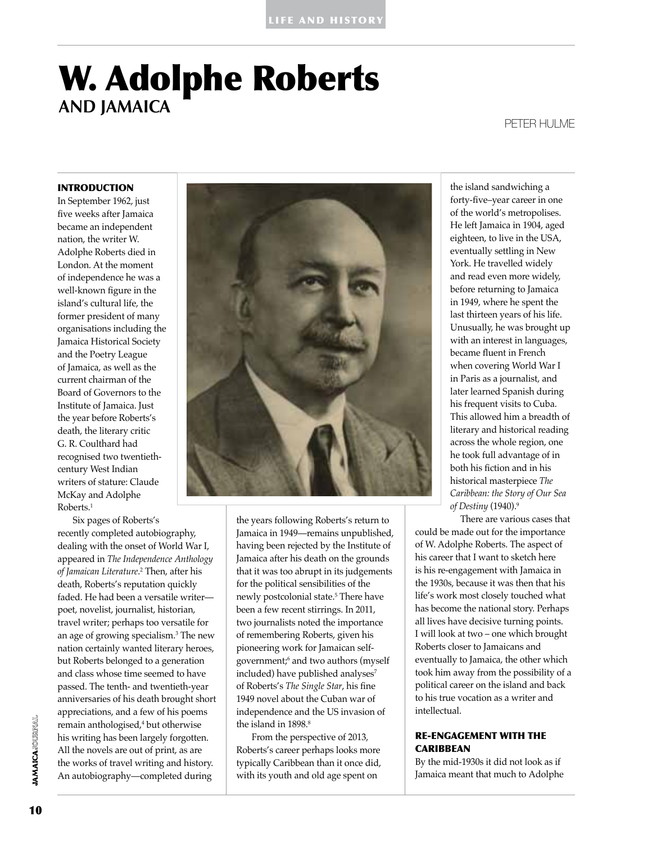# W. Adolphe Roberts **and Jamaica**

# Peter Hulme

# INTRODUCTION

In September 1962, just five weeks after Jamaica became an independent nation, the writer W. Adolphe Roberts died in London. At the moment of independence he was a well-known figure in the island's cultural life, the former president of many organisations including the Jamaica Historical Society and the Poetry League of Jamaica, as well as the current chairman of the Board of Governors to the Institute of Jamaica. Just the year before Roberts's death, the literary critic G. R. Coulthard had recognised two twentiethcentury West Indian writers of stature: Claude McKay and Adolphe Roberts.<sup>1</sup>

Six pages of Roberts's recently completed autobiography, dealing with the onset of World War I, appeared in *The Independence Anthology of Jamaican Literature.*<sup>2</sup> Then, after his death, Roberts's reputation quickly faded. He had been a versatile writer poet, novelist, journalist, historian, travel writer; perhaps too versatile for an age of growing specialism.<sup>3</sup> The new nation certainly wanted literary heroes, but Roberts belonged to a generation and class whose time seemed to have passed. The tenth- and twentieth-year anniversaries of his death brought short appreciations, and a few of his poems remain anthologised,<sup>4</sup> but otherwise his writing has been largely forgotten. All the novels are out of print, as are the works of travel writing and history. An autobiography—completed during



the years following Roberts's return to Jamaica in 1949—remains unpublished, having been rejected by the Institute of Jamaica after his death on the grounds that it was too abrupt in its judgements for the political sensibilities of the newly postcolonial state.<sup>5</sup> There have been a few recent stirrings. In 2011, two journalists noted the importance of remembering Roberts, given his pioneering work for Jamaican selfgovernment;<sup>6</sup> and two authors (myself included) have published analyses<sup>7</sup> of Roberts's *The Single Star*, his fine 1949 novel about the Cuban war of independence and the US invasion of the island in 1898.<sup>8</sup>

From the perspective of 2013, Roberts's career perhaps looks more typically Caribbean than it once did, with its youth and old age spent on

the island sandwiching a forty-five–year career in one of the world's metropolises. He left Jamaica in 1904, aged eighteen, to live in the USA, eventually settling in New York. He travelled widely and read even more widely, before returning to Jamaica in 1949, where he spent the last thirteen years of his life. Unusually, he was brought up with an interest in languages, became fluent in French when covering World War I in Paris as a journalist, and later learned Spanish during his frequent visits to Cuba. This allowed him a breadth of literary and historical reading across the whole region, one he took full advantage of in both his fiction and in his historical masterpiece *The Caribbean: the Story of Our Sea of Destiny* (1940).<sup>9</sup>

There are various cases that could be made out for the importance of W. Adolphe Roberts. The aspect of his career that I want to sketch here is his re-engagement with Jamaica in the 1930s, because it was then that his life's work most closely touched what has become the national story. Perhaps all lives have decisive turning points. I will look at two – one which brought Roberts closer to Jamaicans and eventually to Jamaica, the other which took him away from the possibility of a political career on the island and back to his true vocation as a writer and intellectual.

## RE-ENGAGEMENT WITH THE **CARIBBEAN**

By the mid-1930s it did not look as if Jamaica meant that much to Adolphe

**IAMAICA**JOURNAL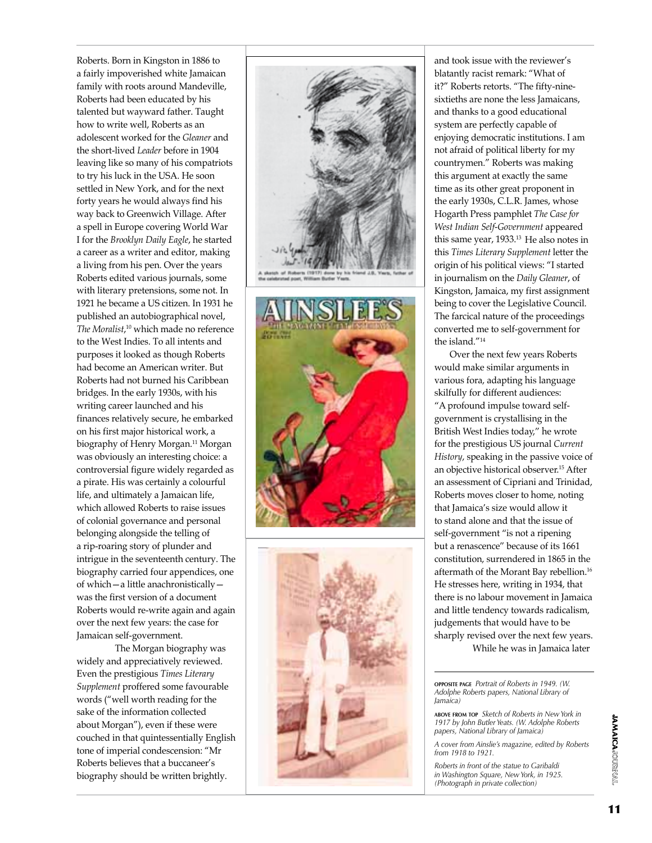Roberts. Born in Kingston in 1886 to a fairly impoverished white Jamaican family with roots around Mandeville, Roberts had been educated by his talented but wayward father. Taught how to write well, Roberts as an adolescent worked for the *Gleaner* and the short-lived *Leader* before in 1904 leaving like so many of his compatriots to try his luck in the USA. He soon settled in New York, and for the next forty years he would always find his way back to Greenwich Village. After a spell in Europe covering World War I for the *Brooklyn Daily Eagle*, he started a career as a writer and editor, making a living from his pen. Over the years Roberts edited various journals, some with literary pretensions, some not. In 1921 he became a US citizen. In 1931 he published an autobiographical novel, *The Moralist*, 10 which made no reference to the West Indies. To all intents and purposes it looked as though Roberts had become an American writer. But Roberts had not burned his Caribbean bridges. In the early 1930s, with his writing career launched and his finances relatively secure, he embarked on his first major historical work, a biography of Henry Morgan.<sup>11</sup> Morgan was obviously an interesting choice: a controversial figure widely regarded as a pirate. His was certainly a colourful life, and ultimately a Jamaican life, which allowed Roberts to raise issues of colonial governance and personal belonging alongside the telling of a rip-roaring story of plunder and intrigue in the seventeenth century. The biography carried four appendices, one of which—a little anachronistically was the first version of a document Roberts would re-write again and again over the next few years: the case for Jamaican self-government.

The Morgan biography was widely and appreciatively reviewed. Even the prestigious *Times Literary Supplement* proffered some favourable words ("well worth reading for the sake of the information collected about Morgan"), even if these were couched in that quintessentially English tone of imperial condescension: "Mr Roberts believes that a buccaneer's biography should be written brightly.







and took issue with the reviewer's blatantly racist remark: "What of it?" Roberts retorts. "The fifty-ninesixtieths are none the less Jamaicans, and thanks to a good educational system are perfectly capable of enjoying democratic institutions. I am not afraid of political liberty for my countrymen." Roberts was making this argument at exactly the same time as its other great proponent in the early 1930s, C.L.R. James, whose Hogarth Press pamphlet *The Case for West Indian Self-Government* appeared this same year, 1933.<sup>13</sup> He also notes in this *Times Literary Supplement* letter the origin of his political views: "I started in journalism on the *Daily Gleaner*, of Kingston, Jamaica, my first assignment being to cover the Legislative Council. The farcical nature of the proceedings converted me to self-government for the island."14

Over the next few years Roberts would make similar arguments in various fora, adapting his language skilfully for different audiences: "A profound impulse toward selfgovernment is crystallising in the British West Indies today," he wrote for the prestigious US journal *Current History*, speaking in the passive voice of an objective historical observer.<sup>15</sup> After an assessment of Cipriani and Trinidad, Roberts moves closer to home, noting that Jamaica's size would allow it to stand alone and that the issue of self-government "is not a ripening but a renascence" because of its 1661 constitution, surrendered in 1865 in the aftermath of the Morant Bay rebellion.<sup>16</sup> He stresses here, writing in 1934, that there is no labour movement in Jamaica and little tendency towards radicalism, judgements that would have to be sharply revised over the next few years. While he was in Jamaica later

**opposite page** *Portrait of Roberts in 1949. (W. Adolphe Roberts papers, National Library of Jamaica)* 

**above from top** *Sketch of Roberts in New York in 1917 by John Butler Yeats. (W. Adolphe Roberts papers, National Library of Jamaica)* 

*A cover from Ainslie's magazine, edited by Roberts from 1918 to 1921.* 

*Roberts in front of the statue to Garibaldi in Washington Square, New York, in 1925. (Photograph in private collection)*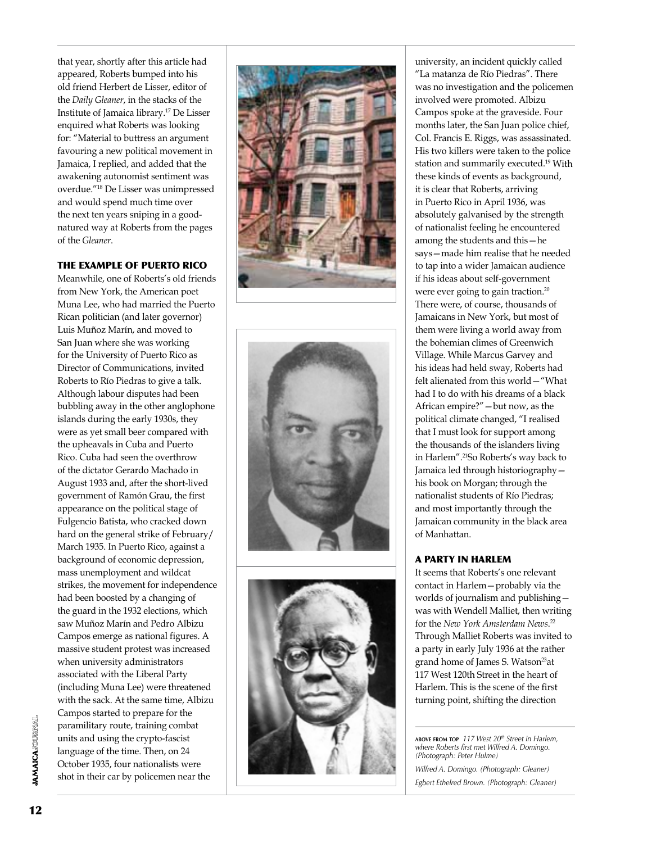that year, shortly after this article had appeared, Roberts bumped into his old friend Herbert de Lisser, editor of the *Daily Gleaner*, in the stacks of the Institute of Jamaica library.17 De Lisser enquired what Roberts was looking for: "Material to buttress an argument favouring a new political movement in Jamaica, I replied, and added that the awakening autonomist sentiment was overdue."18 De Lisser was unimpressed and would spend much time over the next ten years sniping in a goodnatured way at Roberts from the pages of the *Gleaner* .

# THE EXAMP LE O F PUERTO RICO

Meanwhile, one of Roberts's old friends from New York, the American poet Muna Lee, who had married the Puerto Rican politician (and later governor) Luis Muñoz Marín, and moved to San Juan where she was working for the University of Puerto Rico as Director of Communications, invited Roberts to Río Piedras to give a talk. Although labour disputes had been bubbling away in the other anglophone islands during the early 1930s, they were as yet small beer compared with the upheavals in Cuba and Puerto Rico. Cuba had seen the overthrow of the dictator Gerardo Machado in August 1933 and, after the short-lived government of Ramón Grau, the first appearance on the political stage of Fulgencio Batista, who cracked down hard on the general strike of February/ March 1935. In Puerto Rico, against a background of economic depression, mass unemployment and wildcat strikes, the movement for independence had been boosted by a changing of the guard in the 1932 elections, which saw Muñoz Marín and Pedro Albizu Campos emerge as national figures. A massive student protest was increased when university administrators associated with the Liberal Party (including Muna Lee) were threatened with the sack. At the same time, Albizu Campos started to prepare for the paramilitary route, training combat units and using the crypto-fascist language of the time. Then, on 24 October 1935, four nationalists were shot in their car by policemen near the







university, an incident quickly called "La matanza de Río Piedras". There was no investigation and the policemen involved were promoted. Albizu Campos spoke at the graveside. Four months later, the San Juan police chief, Col. Francis E. Riggs, was assassinated. His two killers were taken to the police station and summarily executed.19 With these kinds of events as background, it is clear that Roberts, arriving in Puerto Rico in April 1936, was absolutely galvanised by the strength of nationalist feeling he encountered among the students and this—he says—made him realise that he needed to tap into a wider Jamaican audience if his ideas about self-government were ever going to gain traction.<sup>20</sup> There were, of course, thousands of Jamaicans in New York, but most of them were living a world away from the bohemian climes of Greenwich Village. While Marcus Garvey and his ideas had held sway, Roberts had felt alienated from this world—"What had I to do with his dreams of a black African empire?"—but now, as the political climate changed, "I realised that I must look for support among the thousands of the islanders living in Harlem".21So Roberts's way back to Jamaica led through historiography his book on Morgan; through the nationalist students of Río Piedras; and most importantly through the Jamaican community in the black area of Manhattan.

# A PART Y IN HAR LEM

It seems that Roberts's one relevant contact in Harlem—probably via the worlds of journalism and publishing was with Wendell Malliet, then writing for the *New York Amsterdam News* . 22 Through Malliet Roberts was invited to a party in early July 1936 at the rather grand home of James S. Watson<sup>23</sup>at 117 West 120th Street in the heart of Harlem. This is the scene of the first turning point, shifting the direction

**above from top** *117 West 20th Street in Harlem, where Roberts first met Wilfred A. Domingo. (Photograph: Peter Hulme)* 

*Wilfred A. Domingo. (Photograph: Gleaner) Egbert Ethelred Brown. (Photograph: Gleaner)*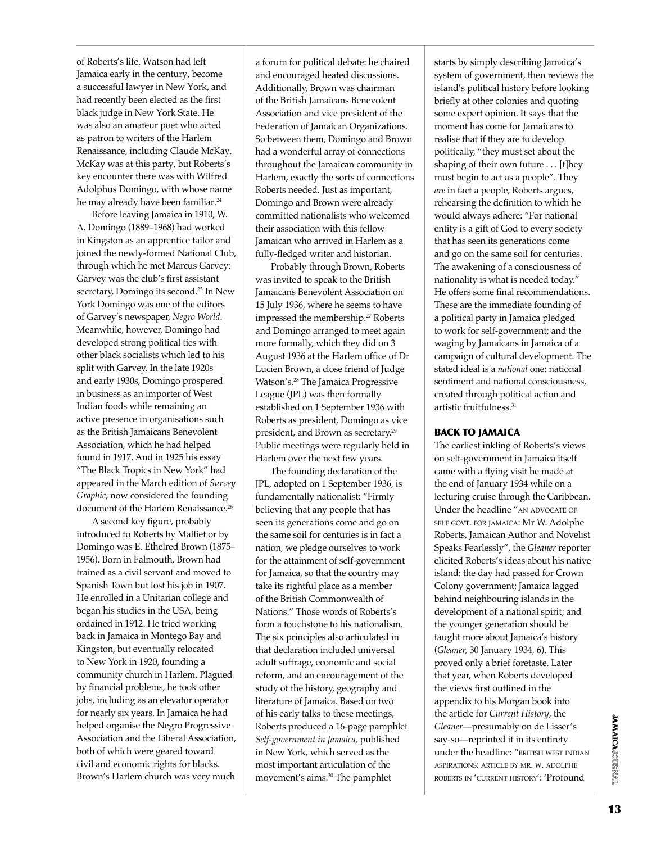of Roberts's life. Watson had left Jamaica early in the century, become a successful lawyer in New York, and had recently been elected as the first black judge in New York State. He was also an amateur poet who acted as patron to writers of the Harlem Renaissance, including Claude McKay. McKay was at this party, but Roberts's key encounter there was with Wilfred Adolphus Domingo, with whose name he may already have been familiar.<sup>24</sup>

Before leaving Jamaica in 1910, W. A. Domingo (1889–1968) had worked in Kingston as an apprentice tailor and joined the newly-formed National Club, through which he met Marcus Garvey: Garvey was the club's first assistant secretary, Domingo its second.<sup>25</sup> In New York Domingo was one of the editors of Garvey's newspaper, *Negro World*. Meanwhile, however, Domingo had developed strong political ties with other black socialists which led to his split with Garvey. In the late 1920s and early 1930s, Domingo prospered in business as an importer of West Indian foods while remaining an active presence in organisations such as the British Jamaicans Benevolent Association, which he had helped found in 1917. And in 1925 his essay "The Black Tropics in New York" had appeared in the March edition of *Survey Graphic*, now considered the founding document of the Harlem Renaissance.<sup>26</sup>

A second key figure, probably introduced to Roberts by Malliet or by Domingo was E. Ethelred Brown (1875– 1956). Born in Falmouth, Brown had trained as a civil servant and moved to Spanish Town but lost his job in 1907. He enrolled in a Unitarian college and began his studies in the USA, being ordained in 1912. He tried working back in Jamaica in Montego Bay and Kingston, but eventually relocated to New York in 1920, founding a community church in Harlem. Plagued by financial problems, he took other jobs, including as an elevator operator for nearly six years. In Jamaica he had helped organise the Negro Progressive Association and the Liberal Association, both of which were geared toward civil and economic rights for blacks. Brown's Harlem church was very much

a forum for political debate: he chaired and encouraged heated discussions. Additionally, Brown was chairman of the British Jamaicans Benevolent Association and vice president of the Federation of Jamaican Organizations. So between them, Domingo and Brown had a wonderful array of connections throughout the Jamaican community in Harlem, exactly the sorts of connections Roberts needed. Just as important, Domingo and Brown were already committed nationalists who welcomed their association with this fellow Jamaican who arrived in Harlem as a fully-fledged writer and historian.

Probably through Brown, Roberts was invited to speak to the British Jamaicans Benevolent Association on 15 July 1936, where he seems to have impressed the membership.<sup>27</sup> Roberts and Domingo arranged to meet again more formally, which they did on 3 August 1936 at the Harlem office of Dr Lucien Brown, a close friend of Judge Watson's.28 The Jamaica Progressive League (JPL) was then formally established on 1 September 1936 with Roberts as president, Domingo as vice president, and Brown as secretary.<sup>29</sup> Public meetings were regularly held in Harlem over the next few years.

The founding declaration of the JPL, adopted on 1 September 1936, is fundamentally nationalist: "Firmly believing that any people that has seen its generations come and go on the same soil for centuries is in fact a nation, we pledge ourselves to work for the attainment of self-government for Jamaica, so that the country may take its rightful place as a member of the British Commonwealth of Nations." Those words of Roberts's form a touchstone to his nationalism. The six principles also articulated in that declaration included universal adult suffrage, economic and social reform, and an encouragement of the study of the history, geography and literature of Jamaica. Based on two of his early talks to these meetings, Roberts produced a 16-page pamphlet *Self-government in Jamaica*, published in New York, which served as the most important articulation of the movement's aims.30 The pamphlet

starts by simply describing Jamaica's system of government, then reviews the island's political history before looking briefly at other colonies and quoting some expert opinion. It says that the moment has come for Jamaicans to realise that if they are to develop politically, "they must set about the shaping of their own future . . . [t]hey must begin to act as a people". They *are* in fact a people, Roberts argues, rehearsing the definition to which he would always adhere: "For national entity is a gift of God to every society that has seen its generations come and go on the same soil for centuries. The awakening of a consciousness of nationality is what is needed today." He offers some final recommendations. These are the immediate founding of a political party in Jamaica pledged to work for self-government; and the waging by Jamaicans in Jamaica of a campaign of cultural development. The stated ideal is a *national* one: national sentiment and national consciousness, created through political action and artistic fruitfulness.<sup>31</sup>

## back to jamaica

The earliest inkling of Roberts's views on self-government in Jamaica itself came with a flying visit he made at the end of January 1934 while on a lecturing cruise through the Caribbean. Under the headline "AN ADVOCATE OF self govt. for jamaica: Mr W. Adolphe Roberts, Jamaican Author and Novelist Speaks Fearlessly", the *Gleaner* reporter elicited Roberts's ideas about his native island: the day had passed for Crown Colony government; Jamaica lagged behind neighbouring islands in the development of a national spirit; and the younger generation should be taught more about Jamaica's history (*Gleaner,* 30 January 1934, 6). This proved only a brief foretaste. Later that year, when Roberts developed the views first outlined in the appendix to his Morgan book into the article for *Current History*, the *Gleaner*—presumably on de Lisser's say-so—reprinted it in its entirety under the headline: "BRITISH WEST INDIAN aspirations: article by mr. w. adolphe roberts in 'current history': 'Profound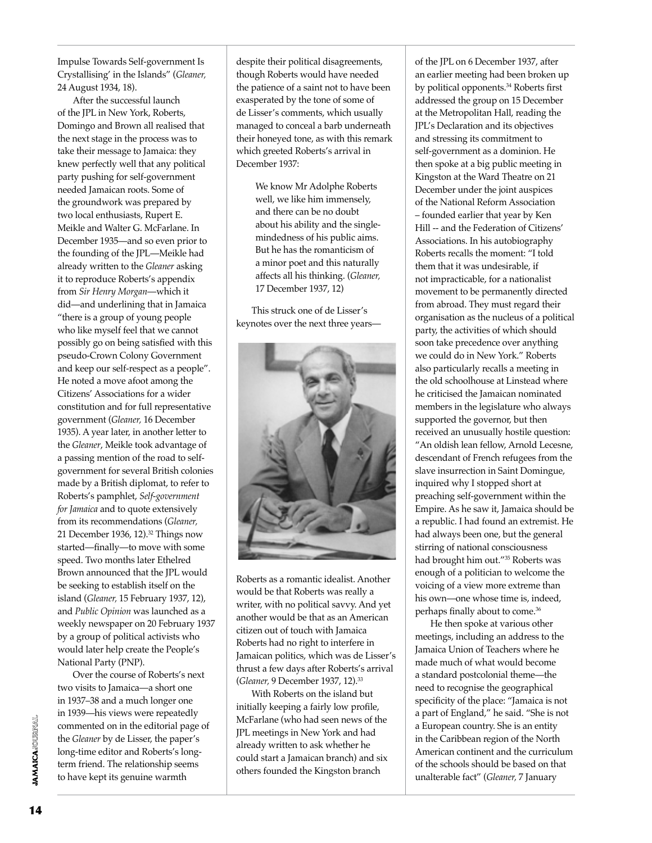Impulse Towards Self-government Is Crystallising' in the Islands" (*Gleaner,* 24 August 1934, 18).

After the successful launch of the JPL in New York, Roberts, Domingo and Brown all realised that the next stage in the process was to take their message to Jamaica: they knew perfectly well that any political party pushing for self-government needed Jamaican roots. Some of the groundwork was prepared by two local enthusiasts, Rupert E. Meikle and Walter G. McFarlane. In December 1935—and so even prior to the founding of the JPL—Meikle had already written to the *Gleaner* asking it to reproduce Roberts's appendix from *Sir Henry Morgan*—which it did—and underlining that in Jamaica "there is a group of young people who like myself feel that we cannot possibly go on being satisfied with this pseudo-Crown Colony Government and keep our self-respect as a people". He noted a move afoot among the Citizens' Associations for a wider constitution and for full representative government (*Gleaner,* 16 December 1935). A year later, in another letter to the *Gleaner*, Meikle took advantage of a passing mention of the road to selfgovernment for several British colonies made by a British diplomat, to refer to Roberts's pamphlet, *Self-government for Jamaica* and to quote extensively from its recommendations (*Gleaner,* 21 December 1936, 12).<sup>32</sup> Things now started—finally—to move with some speed. Two months later Ethelred Brown announced that the JPL would be seeking to establish itself on the island (*Gleaner,* 15 February 1937, 12), and *Public Opinion* was launched as a weekly newspaper on 20 February 1937 by a group of political activists who would later help create the People's National Party (PNP).

Over the course of Roberts's next two visits to Jamaica—a short one in 1937–38 and a much longer one in 1939—his views were repeatedly commented on in the editorial page of the *Gleaner* by de Lisser, the paper's long-time editor and Roberts's longterm friend. The relationship seems to have kept its genuine warmth

despite their political disagreements, though Roberts would have needed the patience of a saint not to have been exasperated by the tone of some of de Lisser's comments, which usually managed to conceal a barb underneath their honeyed tone, as with this remark which greeted Roberts's arrival in December 1937:

> We know Mr Adolphe Roberts well, we like him immensely, and there can be no doubt about his ability and the singlemindedness of his public aims. But he has the romanticism of a minor poet and this naturally affects all his thinking. (*Gleaner,* 17 December 1937, 12)

This struck one of de Lisser's keynotes over the next three years—



Roberts as a romantic idealist. Another would be that Roberts was really a writer, with no political savvy. And yet another would be that as an American citizen out of touch with Jamaica Roberts had no right to interfere in Jamaican politics, which was de Lisser's thrust a few days after Roberts's arrival (*Gleaner,* 9 December 1937, 12).<sup>33</sup>

With Roberts on the island but initially keeping a fairly low profile, McFarlane (who had seen news of the JPL meetings in New York and had already written to ask whether he could start a Jamaican branch) and six others founded the Kingston branch

of the JPL on 6 December 1937, after an earlier meeting had been broken up by political opponents.<sup>34</sup> Roberts first addressed the group on 15 December at the Metropolitan Hall, reading the JPL's Declaration and its objectives and stressing its commitment to self-government as a dominion. He then spoke at a big public meeting in Kingston at the Ward Theatre on 21 December under the joint auspices of the National Reform Association – founded earlier that year by Ken Hill -- and the Federation of Citizens' Associations. In his autobiography Roberts recalls the moment: "I told them that it was undesirable, if not impracticable, for a nationalist movement to be permanently directed from abroad. They must regard their organisation as the nucleus of a political party, the activities of which should soon take precedence over anything we could do in New York." Roberts also particularly recalls a meeting in the old schoolhouse at Linstead where he criticised the Jamaican nominated members in the legislature who always supported the governor, but then received an unusually hostile question: "An oldish lean fellow, Arnold Lecesne, descendant of French refugees from the slave insurrection in Saint Domingue, inquired why I stopped short at preaching self-government within the Empire. As he saw it, Jamaica should be a republic. I had found an extremist. He had always been one, but the general stirring of national consciousness had brought him out."<sup>35</sup> Roberts was enough of a politician to welcome the voicing of a view more extreme than his own—one whose time is, indeed, perhaps finally about to come.<sup>36</sup>

He then spoke at various other meetings, including an address to the Jamaica Union of Teachers where he made much of what would become a standard postcolonial theme—the need to recognise the geographical specificity of the place: "Jamaica is not a part of England," he said. "She is not a European country. She is an entity in the Caribbean region of the North American continent and the curriculum of the schools should be based on that unalterable fact" (*Gleaner,* 7 January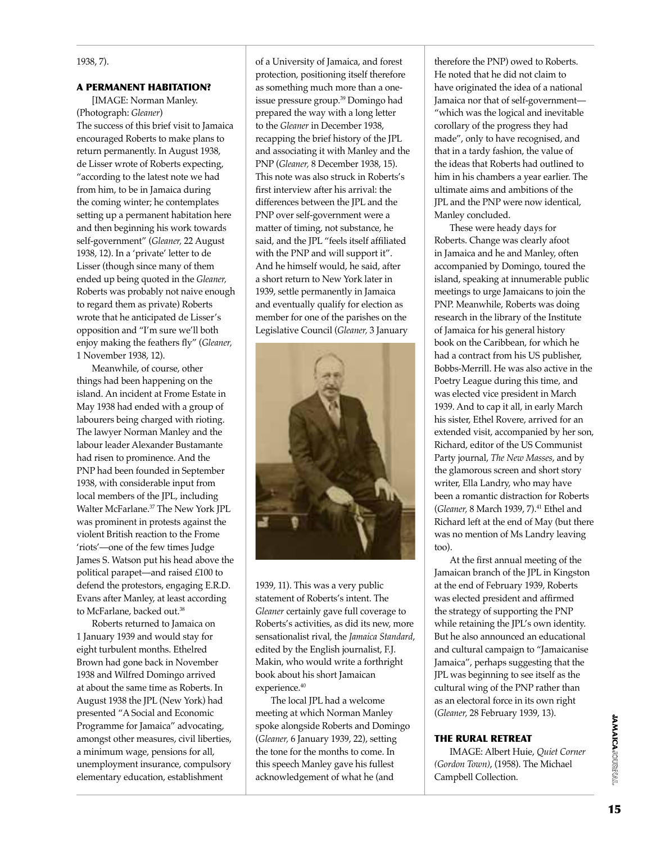#### A PERMANENT HABITATION?

[IMAGE: Norman Manley. (Photograph: *Gleaner*) The success of this brief visit to Jamaica encouraged Roberts to make plans to return permanently. In August 1938, de Lisser wrote of Roberts expecting, "according to the latest note we had from him, to be in Jamaica during the coming winter; he contemplates setting up a permanent habitation here and then beginning his work towards self-government" (*Gleaner,* 22 August 1938, 12). In a 'private' letter to de Lisser (though since many of them ended up being quoted in the *Gleaner,* Roberts was probably not naive enough to regard them as private) Roberts wrote that he anticipated de Lisser's opposition and "I'm sure we'll both enjoy making the feathers fly" (*Gleaner,* 1 November 1938, 12).

Meanwhile, of course, other things had been happening on the island. An incident at Frome Estate in May 1938 had ended with a group of labourers being charged with rioting. The lawyer Norman Manley and the labour leader Alexander Bustamante had risen to prominence. And the PNP had been founded in September 1938, with considerable input from local members of the JPL, including Walter McFarlane.<sup>37</sup> The New York JPL was prominent in protests against the violent British reaction to the Frome 'riots'—one of the few times Judge James S. Watson put his head above the political parapet—and raised £100 to defend the protestors, engaging E.R.D. Evans after Manley, at least according to McFarlane, backed out.<sup>38</sup>

Roberts returned to Jamaica on 1 January 1939 and would stay for eight turbulent months. Ethelred Brown had gone back in November 1938 and Wilfred Domingo arrived at about the same time as Roberts. In August 1938 the JPL (New York) had presented "A Social and Economic Programme for Jamaica" advocating, amongst other measures, civil liberties, a minimum wage, pensions for all, unemployment insurance, compulsory elementary education, establishment

of a University of Jamaica, and forest protection, positioning itself therefore as something much more than a oneissue pressure group.<sup>39</sup> Domingo had prepared the way with a long letter to the *Gleaner* in December 1938, recapping the brief history of the JPL and associating it with Manley and the PNP (*Gleaner,* 8 December 1938, 15). This note was also struck in Roberts's first interview after his arrival: the differences between the JPL and the PNP over self-government were a matter of timing, not substance, he said, and the JPL "feels itself affiliated with the PNP and will support it". And he himself would, he said, after a short return to New York later in 1939, settle permanently in Jamaica and eventually qualify for election as member for one of the parishes on the Legislative Council (*Gleaner,* 3 January



1939, 11). This was a very public statement of Roberts's intent. The *Gleaner* certainly gave full coverage to Roberts's activities, as did its new, more sensationalist rival, the *Jamaica Standard*, edited by the English journalist, F.J. Makin, who would write a forthright book about his short Jamaican experience.<sup>40</sup>

The local JPL had a welcome meeting at which Norman Manley spoke alongside Roberts and Domingo (*Gleaner,* 6 January 1939, 22), setting the tone for the months to come. In this speech Manley gave his fullest acknowledgement of what he (and

therefore the PNP) owed to Roberts. He noted that he did not claim to have originated the idea of a national Jamaica nor that of self-government— "which was the logical and inevitable corollary of the progress they had made", only to have recognised, and that in a tardy fashion, the value of the ideas that Roberts had outlined to him in his chambers a year earlier. The ultimate aims and ambitions of the JPL and the PNP were now identical, Manley concluded.

These were heady days for Roberts. Change was clearly afoot in Jamaica and he and Manley, often accompanied by Domingo, toured the island, speaking at innumerable public meetings to urge Jamaicans to join the PNP. Meanwhile, Roberts was doing research in the library of the Institute of Jamaica for his general history book on the Caribbean, for which he had a contract from his US publisher, Bobbs-Merrill. He was also active in the Poetry League during this time, and was elected vice president in March 1939. And to cap it all, in early March his sister, Ethel Rovere, arrived for an extended visit, accompanied by her son, Richard, editor of the US Communist Party journal, *The New Masses*, and by the glamorous screen and short story writer, Ella Landry, who may have been a romantic distraction for Roberts (*Gleaner*, 8 March 1939, 7).<sup>41</sup> Ethel and Richard left at the end of May (but there was no mention of Ms Landry leaving too).

At the first annual meeting of the Jamaican branch of the JPL in Kingston at the end of February 1939, Roberts was elected president and affirmed the strategy of supporting the PNP while retaining the JPL's own identity. But he also announced an educational and cultural campaign to "Jamaicanise Jamaica", perhaps suggesting that the JPL was beginning to see itself as the cultural wing of the PNP rather than as an electoral force in its own right (*Gleaner,* 28 February 1939, 13).

#### THE RURAL RETREAT

IMAGE: Albert Huie, *Quiet Corner (Gordon Town)*, (1958). The Michael Campbell Collection.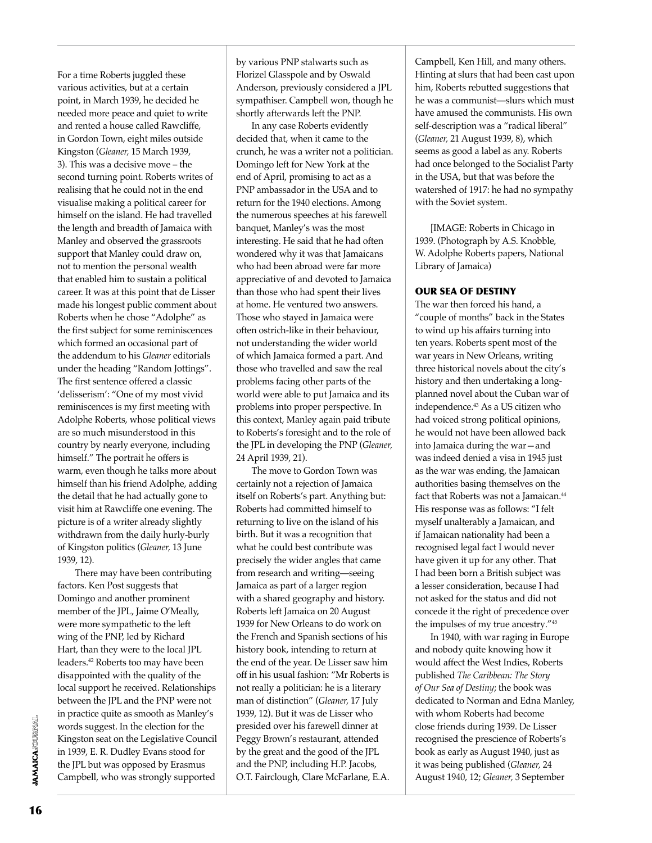For a time Roberts juggled these various activities, but at a certain point, in March 1939, he decided he needed more peace and quiet to write and rented a house called Rawcliffe, in Gordon Town, eight miles outside Kingston (*Gleaner,* 15 March 1939, 3). This was a decisive move – the second turning point. Roberts writes of realising that he could not in the end visualise making a political career for himself on the island. He had travelled the length and breadth of Jamaica with Manley and observed the grassroots support that Manley could draw on, not to mention the personal wealth that enabled him to sustain a political career. It was at this point that de Lisser made his longest public comment about Roberts when he chose "Adolphe" as the first subject for some reminiscences which formed an occasional part of the addendum to his *Gleaner* editorials under the heading "Random Jottings". The first sentence offered a classic 'delisserism': "One of my most vivid reminiscences is my first meeting with Adolphe Roberts, whose political views are so much misunderstood in this country by nearly everyone, including himself." The portrait he offers is warm, even though he talks more about himself than his friend Adolphe, adding the detail that he had actually gone to visit him at Rawcliffe one evening. The picture is of a writer already slightly withdrawn from the daily hurly-burly of Kingston politics (*Gleaner,* 13 June 1939, 12).

 There may have been contributing factors. Ken Post suggests that Domingo and another prominent member of the JPL, Jaime O'Meally, were more sympathetic to the left wing of the PNP, led by Richard Hart, than they were to the local JPL leaders.<sup>42</sup> Roberts too may have been disappointed with the quality of the local support he received. Relationships between the JPL and the PNP were not in practice quite as smooth as Manley's words suggest. In the election for the Kingston seat on the Legislative Council in 1939, E. R. Dudley Evans stood for the JPL but was opposed by Erasmus Campbell, who was strongly supported

by various PNP stalwarts such as Florizel Glasspole and by Oswald Anderson, previously considered a JPL sympathiser. Campbell won, though he shortly afterwards left the PNP.

In any case Roberts evidently decided that, when it came to the crunch, he was a writer not a politician. Domingo left for New York at the end of April, promising to act as a PNP ambassador in the USA and to return for the 1940 elections. Among the numerous speeches at his farewell banquet, Manley's was the most interesting. He said that he had often wondered why it was that Jamaicans who had been abroad were far more appreciative of and devoted to Jamaica than those who had spent their lives at home. He ventured two answers. Those who stayed in Jamaica were often ostrich-like in their behaviour, not understanding the wider world of which Jamaica formed a part. And those who travelled and saw the real problems facing other parts of the world were able to put Jamaica and its problems into proper perspective. In this context, Manley again paid tribute to Roberts's foresight and to the role of the JPL in developing the PNP (*Gleaner,* 24 April 1939, 21).

The move to Gordon Town was certainly not a rejection of Jamaica itself on Roberts's part. Anything but: Roberts had committed himself to returning to live on the island of his birth. But it was a recognition that what he could best contribute was precisely the wider angles that came from research and writing—seeing Jamaica as part of a larger region with a shared geography and history. Roberts left Jamaica on 20 August 1939 for New Orleans to do work on the French and Spanish sections of his history book, intending to return at the end of the year. De Lisser saw him off in his usual fashion: "Mr Roberts is not really a politician: he is a literary man of distinction" (*Gleaner,* 17 July 1939, 12). But it was de Lisser who presided over his farewell dinner at Peggy Brown's restaurant, attended by the great and the good of the JPL and the PNP, including H.P. Jacobs, O.T. Fairclough, Clare McFarlane, E.A. Campbell, Ken Hill, and many others. Hinting at slurs that had been cast upon him, Roberts rebutted suggestions that he was a communist—slurs which must have amused the communists. His own self-description was a "radical liberal" (*Gleaner,* 21 August 1939, 8), which seems as good a label as any. Roberts had once belonged to the Socialist Party in the USA, but that was before the watershed of 1917: he had no sympathy with the Soviet system.

[IMAGE: Roberts in Chicago in 1939. (Photograph by A.S. Knobble, W. Adolphe Roberts papers, National Library of Jamaica)

### OUR SEA OF DESTINY

The war then forced his hand, a "couple of months" back in the States to wind up his affairs turning into ten years. Roberts spent most of the war years in New Orleans, writing three historical novels about the city's history and then undertaking a longplanned novel about the Cuban war of independence.43 As a US citizen who had voiced strong political opinions, he would not have been allowed back into Jamaica during the war—and was indeed denied a visa in 1945 just as the war was ending, the Jamaican authorities basing themselves on the fact that Roberts was not a Jamaican.<sup>44</sup> His response was as follows: "I felt myself unalterably a Jamaican, and if Jamaican nationality had been a recognised legal fact I would never have given it up for any other. That I had been born a British subject was a lesser consideration, because I had not asked for the status and did not concede it the right of precedence over the impulses of my true ancestry."45

In 1940, with war raging in Europe and nobody quite knowing how it would affect the West Indies, Roberts published *The Caribbean: The Story of Our Sea of Destiny*; the book was dedicated to Norman and Edna Manley, with whom Roberts had become close friends during 1939. De Lisser recognised the prescience of Roberts's book as early as August 1940, just as it was being published (*Gleaner,* 24 August 1940, 12; *Gleaner,* 3 September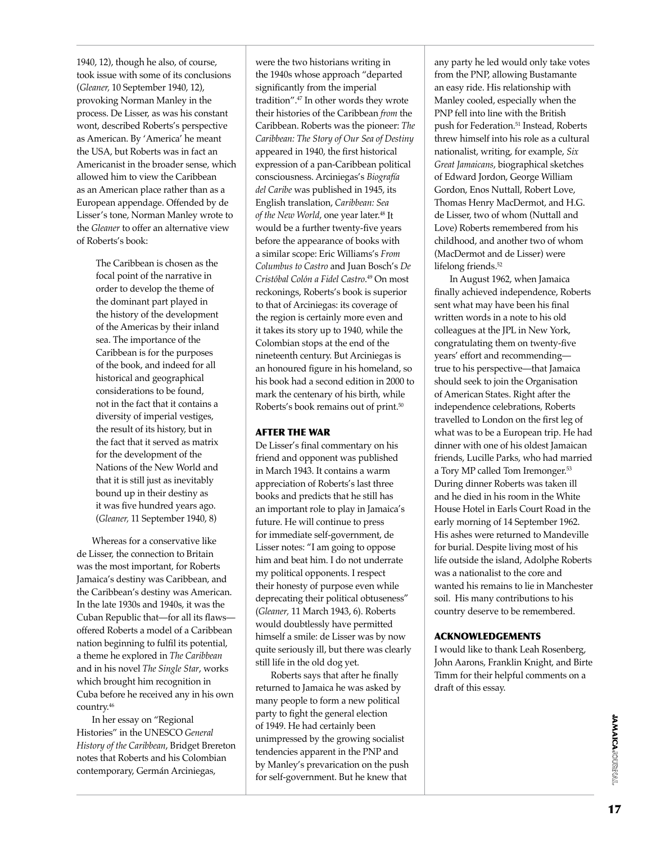1940, 12), though he also, of course, took issue with some of its conclusions (*Gleaner,* 10 September 1940, 12), provoking Norman Manley in the process. De Lisser, as was his constant wont, described Roberts's perspective as American. By 'America' he meant the USA, but Roberts was in fact an Americanist in the broader sense, which allowed him to view the Caribbean as an American place rather than as a European appendage. Offended by de Lisser's tone, Norman Manley wrote to the *Gleaner* to offer an alternative view of Roberts's book:

> The Caribbean is chosen as the focal point of the narrative in order to develop the theme of the dominant part played in the history of the development of the Americas by their inland sea. The importance of the Caribbean is for the purposes of the book, and indeed for all historical and geographical considerations to be found, not in the fact that it contains a diversity of imperial vestiges, the result of its history, but in the fact that it served as matrix for the development of the Nations of the New World and that it is still just as inevitably bound up in their destiny as it was five hundred years ago. (*Gleaner,* 11 September 1940, 8)

Whereas for a conservative like de Lisser, the connection to Britain was the most important, for Roberts Jamaica's destiny was Caribbean, and the Caribbean's destiny was American. In the late 1930s and 1940s, it was the Cuban Republic that—for all its flaws offered Roberts a model of a Caribbean nation beginning to fulfil its potential, a theme he explored in *The Caribbean* and in his novel *The Single Star*, works which brought him recognition in Cuba before he received any in his own country.<sup>46</sup>

In her essay on "Regional Histories" in the UNESCO *General History of the Caribbean*, Bridget Brereton notes that Roberts and his Colombian contemporary, Germán Arciniegas,

were the two historians writing in the 1940s whose approach "departed significantly from the imperial tradition".<sup>47</sup> In other words they wrote their histories of the Caribbean *from* the Caribbean. Roberts was the pioneer: *The Caribbean: The Story of Our Sea of Destiny* appeared in 1940, the first historical expression of a pan-Caribbean political consciousness. Arciniegas's *Biografía del Caribe* was published in 1945, its English translation, *Caribbean: Sea*  of the New World, one year later.<sup>48</sup> It would be a further twenty-five years before the appearance of books with a similar scope: Eric Williams's *From Columbus to Castro* and Juan Bosch's *De Cristóbal Colón a Fidel Castro*. <sup>49</sup> On most reckonings, Roberts's book is superior to that of Arciniegas: its coverage of the region is certainly more even and it takes its story up to 1940, while the Colombian stops at the end of the nineteenth century. But Arciniegas is an honoured figure in his homeland, so his book had a second edition in 2000 to mark the centenary of his birth, while Roberts's book remains out of print.50

#### after the war

De Lisser's final commentary on his friend and opponent was published in March 1943. It contains a warm appreciation of Roberts's last three books and predicts that he still has an important role to play in Jamaica's future. He will continue to press for immediate self-government, de Lisser notes: "I am going to oppose him and beat him. I do not underrate my political opponents. I respect their honesty of purpose even while deprecating their political obtuseness" (*Gleaner,* 11 March 1943, 6). Roberts would doubtlessly have permitted himself a smile: de Lisser was by now quite seriously ill, but there was clearly still life in the old dog yet.

Roberts says that after he finally returned to Jamaica he was asked by many people to form a new political party to fight the general election of 1949. He had certainly been unimpressed by the growing socialist tendencies apparent in the PNP and by Manley's prevarication on the push for self-government. But he knew that

any party he led would only take votes from the PNP, allowing Bustamante an easy ride. His relationship with Manley cooled, especially when the PNP fell into line with the British push for Federation.<sup>51</sup> Instead, Roberts threw himself into his role as a cultural nationalist, writing, for example, *Six Great Jamaicans*, biographical sketches of Edward Jordon, George William Gordon, Enos Nuttall, Robert Love, Thomas Henry MacDermot, and H.G. de Lisser, two of whom (Nuttall and Love) Roberts remembered from his childhood, and another two of whom (MacDermot and de Lisser) were lifelong friends.<sup>52</sup>

In August 1962, when Jamaica finally achieved independence, Roberts sent what may have been his final written words in a note to his old colleagues at the JPL in New York, congratulating them on twenty-five years' effort and recommending true to his perspective—that Jamaica should seek to join the Organisation of American States. Right after the independence celebrations, Roberts travelled to London on the first leg of what was to be a European trip. He had dinner with one of his oldest Jamaican friends, Lucille Parks, who had married a Tory MP called Tom Iremonger.<sup>53</sup> During dinner Roberts was taken ill and he died in his room in the White House Hotel in Earls Court Road in the early morning of 14 September 1962. His ashes were returned to Mandeville for burial. Despite living most of his life outside the island, Adolphe Roberts was a nationalist to the core and wanted his remains to lie in Manchester soil. His many contributions to his country deserve to be remembered.

## ACKNOWLEDGEMENTS

I would like to thank Leah Rosenberg, John Aarons, Franklin Knight, and Birte Timm for their helpful comments on a draft of this essay.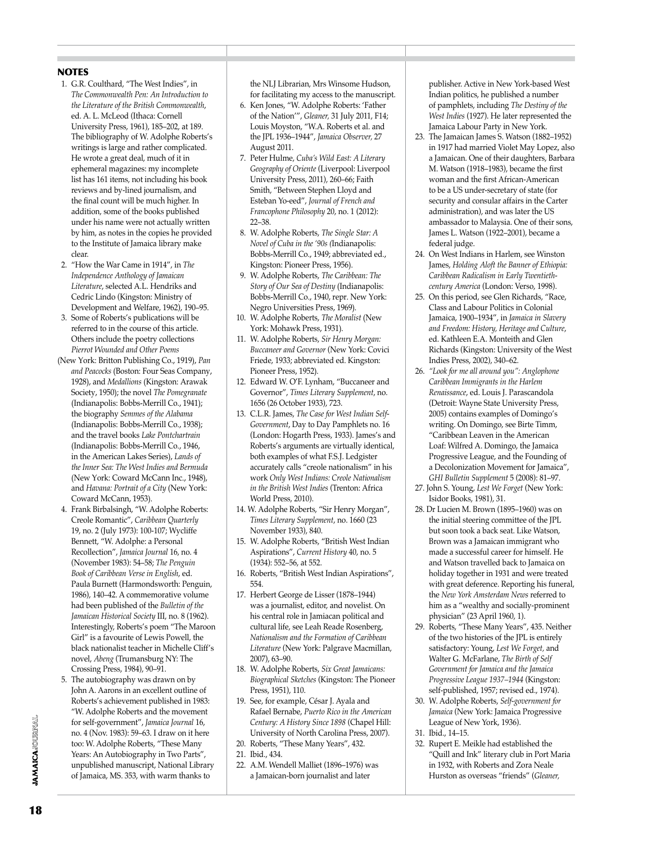#### **NOTES**

- 1. G.R. Coulthard, "The West Indies", in *The Commonwealth Pen: An Introduction to the Literature of the British Commonwealth*, ed. A. L. McLeod (Ithaca: Cornell University Press, 1961), 185–202, at 189. The bibliography of W. Adolphe Roberts's writings is large and rather complicated. He wrote a great deal, much of it in ephemeral magazines: my incomplete list has 161 items, not including his book reviews and by-lined journalism, and the final count will be much higher. In addition, some of the books published under his name were not actually written by him, as notes in the copies he provided to the Institute of Jamaica library make clear.
- 2. "How the War Came in 1914", in *The Independence Anthology of Jamaican Literature*, selected A.L. Hendriks and Cedric Lindo (Kingston: Ministry of Development and Welfare, 1962), 190–95.
- 3. Some of Roberts's publications will be referred to in the course of this article. Others include the poetry collections *Pierrot Wounded and Other Poems*
- (New York: Britton Publishing Co., 1919), *Pan and Peacocks* (Boston: Four Seas Company, 1928), and *Medallions* (Kingston: Arawak Society, 1950); the novel *The Pomegranate* (Indianapolis: Bobbs-Merrill Co., 1941); the biography *Semmes of the Alabama* (Indianapolis: Bobbs-Merrill Co., 1938); and the travel books *Lake Pontchartrain* (Indianapolis: Bobbs-Merrill Co., 1946, in the American Lakes Series), *Lands of the Inner Sea: The West Indies and Bermuda* (New York: Coward McCann Inc., 1948), and *Havana: Portrait of a City* (New York: Coward McCann, 1953).
- 4. Frank Birbalsingh, "W. Adolphe Roberts: Creole Romantic", *Caribbean Quarterly* 19, no. 2 (July 1973): 100-107; Wycliffe Bennett, "W. Adolphe: a Personal Recollection", *Jamaica Journal* 16, no. 4 (November 1983): 54–58; *The Penguin Book of Caribbean Verse in English*, ed. Paula Burnett (Harmondsworth: Penguin, 1986), 140–42. A commemorative volume had been published of the *Bulletin of the Jamaican Historical Society* III, no. 8 (1962). Interestingly, Roberts's poem "The Maroon Girl" is a favourite of Lewis Powell, the black nationalist teacher in Michelle Cliff's novel, *Abeng* (Trumansburg NY: The Crossing Press, 1984), 90–91.
- 5. The autobiography was drawn on by John A. Aarons in an excellent outline of Roberts's achievement published in 1983: "W. Adolphe Roberts and the movement for self-government", *Jamaica Journal* 16, no. 4 (Nov. 1983): 59–63. I draw on it here too: W. Adolphe Roberts, "These Many Years: An Autobiography in Two Parts", unpublished manuscript, National Library of Jamaica, MS. 353, with warm thanks to

the NLJ Librarian, Mrs Winsome Hudson, for facilitating my access to the manuscript.

- 6. Ken Jones, "W. Adolphe Roberts: 'Father of the Nation'", *Gleaner,* 31 July 2011, F14; Louis Moyston, "W.A. Roberts et al. and the JPL 1936–1944", *Jamaica Observer,* 27 August 2011.
- 7. Peter Hulme, *Cuba's Wild East: A Literary Geography of Oriente* (Liverpool: Liverpool University Press, 2011), 260–66; Faith Smith, "Between Stephen Lloyd and Esteban Yo-eed", *Journal of French and Francophone Philosophy* 20, no. 1 (2012): 22–38.
- 8. W. Adolphe Roberts, *The Single Star: A Novel of Cuba in the '90s (*Indianapolis: Bobbs-Merrill Co., 1949; abbreviated ed., Kingston: Pioneer Press, 1956).
- 9. W. Adolphe Roberts, *The Caribbean: The Story of Our Sea of Destiny* (Indianapolis: Bobbs-Merrill Co., 1940, repr. New York: Negro Universities Press, 1969).
- 10. W. Adolphe Roberts, *The Moralist* (New York: Mohawk Press, 1931).
- 11. W. Adolphe Roberts, *Sir Henry Morgan: Buccaneer and Governor* (New York: Covici Friede, 1933; abbreviated ed. Kingston: Pioneer Press, 1952).
- 12. Edward W. O'F. Lynham, "Buccaneer and Governor", *Times Literary Supplement*, no. 1656 (26 October 1933), 723.
- 13. C.L.R. James, *The Case for West Indian Self-Government*, Day to Day Pamphlets no. 16 (London: Hogarth Press, 1933). James's and Roberts's arguments are virtually identical, both examples of what F.S.J. Ledgister accurately calls "creole nationalism" in his work *Only West Indians: Creole Nationalism in the British West Indies* (Trenton: Africa World Press, 2010).
- 14. W. Adolphe Roberts, "Sir Henry Morgan", *Times Literary Supplement*, no. 1660 (23 November 1933), 840.
- 15. W. Adolphe Roberts, "British West Indian Aspirations", *Current History* 40, no. 5 (1934): 552–56, at 552.
- 16. Roberts, "British West Indian Aspirations", 554.
- 17. Herbert George de Lisser (1878–1944) was a journalist, editor, and novelist. On his central role in Jamiacan political and cultural life, see Leah Reade Rosenberg, *Nationalism and the Formation of Caribbean Literature* (New York: Palgrave Macmillan, 2007), 63–90.
- 18. W. Adolphe Roberts, *Six Great Jamaicans: Biographical Sketches* (Kingston: The Pioneer Press, 1951), 110.
- 19. See, for example, César J. Ayala and Rafael Bernabe, *Puerto Rico in the American Century: A History Since 1898* (Chapel Hill: University of North Carolina Press, 2007).
- 20. Roberts, "These Many Years", 432.
- 21. Ibid., 434.
- 22. A.M. Wendell Malliet (1896–1976) was a Jamaican-born journalist and later

publisher. Active in New York-based West Indian politics, he published a number of pamphlets, including *The Destiny of the West Indies* (1927). He later represented the Jamaica Labour Party in New York.

- 23. The Jamaican James S. Watson (1882–1952) in 1917 had married Violet May Lopez, also a Jamaican. One of their daughters, Barbara M. Watson (1918–1983), became the first woman and the first African-American to be a US under-secretary of state (for security and consular affairs in the Carter administration), and was later the US ambassador to Malaysia. One of their sons, James L. Watson (1922–2001), became a federal judge.
- 24. On West Indians in Harlem, see Winston James, *Holding Aloft the Banner of Ethiopia: Caribbean Radicalism in Early Twentiethcentury America* (London: Verso, 1998).
- 25. On this period, see Glen Richards, "Race, Class and Labour Politics in Colonial Jamaica, 1900–1934", in *Jamaica in Slavery and Freedom: History, Heritage and Culture*, ed. Kathleen E.A. Monteith and Glen Richards (Kingston: University of the West Indies Press, 2002), 340–62.
- 26. *"Look for me all around you": Anglophone Caribbean Immigrants in the Harlem Renaissance*, ed. Louis J. Parascandola (Detroit: Wayne State University Press, 2005) contains examples of Domingo's writing. On Domingo, see Birte Timm, "Caribbean Leaven in the American Loaf: Wilfred A. Domingo, the Jamaica Progressive League, and the Founding of a Decolonization Movement for Jamaica", *GHI Bulletin Supplement* 5 (2008): 81–97.
- 27. John S. Young, *Lest We Forget* (New York: Isidor Books, 1981), 31.
- 28. Dr Lucien M. Brown (1895–1960) was on the initial steering committee of the JPL but soon took a back seat. Like Watson, Brown was a Jamaican immigrant who made a successful career for himself. He and Watson travelled back to Jamaica on holiday together in 1931 and were treated with great deference. Reporting his funeral, the *New York Amsterdam News* referred to him as a "wealthy and socially-prominent physician" (23 April 1960, 1).
- 29. Roberts, "These Many Years", 435. Neither of the two histories of the JPL is entirely satisfactory: Young, *Lest We Forget,* and Walter G. McFarlane, *The Birth of Self Government for Jamaica and the Jamaica Progressive League 1937–1944* (Kingston: self-published, 1957; revised ed., 1974).
- 30. W. Adolphe Roberts, *Self-government for Jamaica* (New York: Jamaica Progressive League of New York, 1936).
- 31. Ibid., 14–15.
- 32. Rupert E. Meikle had established the "Quill and Ink" literary club in Port Maria in 1932, with Roberts and Zora Neale Hurston as overseas "friends" (*Gleaner,*

**IAMAICA**JOURNAL